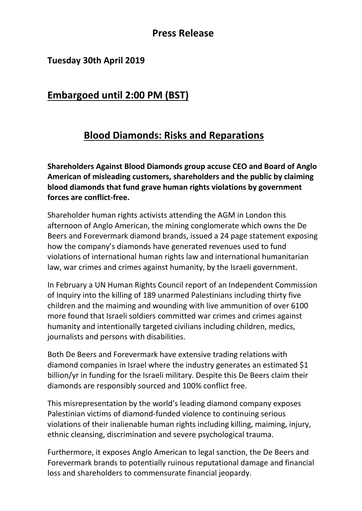### **Press Release**

#### **Tuesday 30th April 2019**

# **Embargoed until 2:00 PM (BST)**

# **Blood Diamonds: Risks and Reparations**

**Shareholders Against Blood Diamonds group accuse CEO and Board of Anglo American of misleading customers, shareholders and the public by claiming blood diamonds that fund grave human rights violations by government forces are conflict-free.** 

Shareholder human rights activists attending the AGM in London this afternoon of Anglo American, the mining conglomerate which owns the De Beers and Forevermark diamond brands, issued a 24 page statement exposing how the company's diamonds have generated revenues used to fund violations of international human rights law and international humanitarian law, war crimes and crimes against humanity, by the Israeli government.

In February a UN Human Rights Council report of an Independent Commission of Inquiry into the killing of 189 unarmed Palestinians including thirty five children and the maiming and wounding with live ammunition of over 6100 more found that Israeli soldiers committed war crimes and crimes against humanity and intentionally targeted civilians including children, medics, journalists and persons with disabilities.

Both De Beers and Forevermark have extensive trading relations with diamond companies in Israel where the industry generates an estimated \$1 billion/yr in funding for the Israeli military. Despite this De Beers claim their diamonds are responsibly sourced and 100% conflict free.

This misrepresentation by the world's leading diamond company exposes Palestinian victims of diamond-funded violence to continuing serious violations of their inalienable human rights including killing, maiming, injury, ethnic cleansing, discrimination and severe psychological trauma.

Furthermore, it exposes Anglo American to legal sanction, the De Beers and Forevermark brands to potentially ruinous reputational damage and financial loss and shareholders to commensurate financial jeopardy.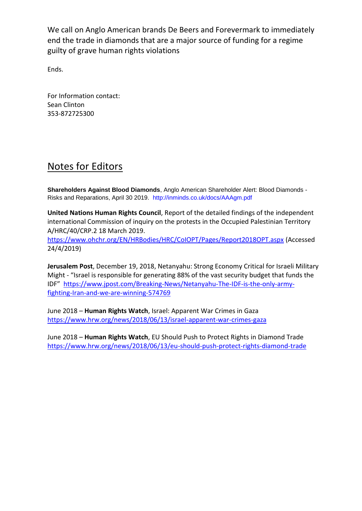We call on Anglo American brands De Beers and Forevermark to immediately end the trade in diamonds that are a major source of funding for a regime guilty of grave human rights violations

Ends.

For Information contact: Sean Clinton 353-872725300

## Notes for Editors

**Shareholders Against Blood Diamonds**, Anglo American Shareholder Alert: Blood Diamonds - Risks and Reparations, April 30 2019. http://inminds.co.uk/docs/AAAgm.pdf

**United Nations Human Rights Council**, Report of the detailed findings of the independent international Commission of inquiry on the protests in the Occupied Palestinian Territory A/HRC/40/CRP.2 18 March 2019.

<https://www.ohchr.org/EN/HRBodies/HRC/CoIOPT/Pages/Report2018OPT.aspx> (Accessed 24/4/2019)

**Jerusalem Post**, December 19, 2018, Netanyahu: Strong Economy Critical for Israeli Military Might - "Israel is responsible for generating 88% of the vast security budget that funds the IDF" [https://www.jpost.com/Breaking-News/Netanyahu-The-IDF-is-the-only-army](https://www.jpost.com/Breaking-News/Netanyahu-The-IDF-is-the-only-army-fighting-Iran-and-we-are-winning-574769)[fighting-Iran-and-we-are-winning-574769](https://www.jpost.com/Breaking-News/Netanyahu-The-IDF-is-the-only-army-fighting-Iran-and-we-are-winning-574769)

June 2018 – **Human Rights Watch**, Israel: Apparent War Crimes in Gaza <https://www.hrw.org/news/2018/06/13/israel-apparent-war-crimes-gaza>

June 2018 – **Human Rights Watch**, EU Should Push to Protect Rights in Diamond Trade <https://www.hrw.org/news/2018/06/13/eu-should-push-protect-rights-diamond-trade>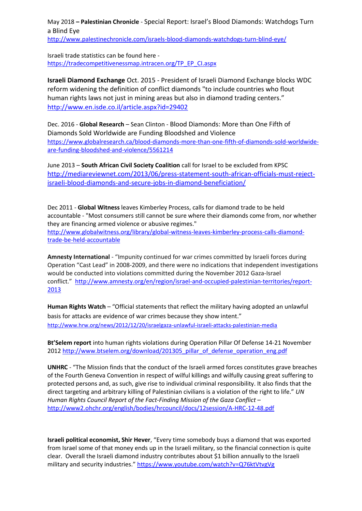May 2018 **– Palestinian Chronicle** - Special Report: Israel's Blood Diamonds: Watchdogs Turn a Blind Eye

<http://www.palestinechronicle.com/israels-blood-diamonds-watchdogs-turn-blind-eye/>

Israeli trade statistics can be found here [https://tradecompetitivenessmap.intracen.org/TP\\_EP\\_CI.aspx](https://tradecompetitivenessmap.intracen.org/TP_EP_CI.aspx)

**Israeli Diamond Exchange** Oct. 2015 - President of Israeli Diamond Exchange blocks WDC reform widening the definition of conflict diamonds "to include countries who flout human rights laws not just in mining areas but also in diamond trading centers." <http://www.en.isde.co.il/article.aspx?id=29402>

Dec. 2016 - **Global Research** – Sean Clinton - Blood Diamonds: More than One Fifth of Diamonds Sold Worldwide are Funding Bloodshed and Violence [https://www.globalresearch.ca/blood-diamonds-more-than-one-fifth-of-diamonds-sold-worldwide](https://www.globalresearch.ca/blood-diamonds-more-than-one-fifth-of-diamonds-sold-worldwide-are-funding-bloodshed-and-violence/5561214)[are-funding-bloodshed-and-violence/5561214](https://www.globalresearch.ca/blood-diamonds-more-than-one-fifth-of-diamonds-sold-worldwide-are-funding-bloodshed-and-violence/5561214)

June 2013 – **South African Civil Society Coalition** call for Israel to be excluded from KPSC [http://mediareviewnet.com/2013/06/press-statement-south-african-officials-must-reject](http://mediareviewnet.com/2013/06/press-statement-south-african-officials-must-reject-israeli-blood-diamonds-and-secure-jobs-in-diamond-beneficiation/)[israeli-blood-diamonds-and-secure-jobs-in-diamond-beneficiation/](http://mediareviewnet.com/2013/06/press-statement-south-african-officials-must-reject-israeli-blood-diamonds-and-secure-jobs-in-diamond-beneficiation/)

Dec 2011 - **Global Witness** leaves Kimberley Process, calls for diamond trade to be held accountable - "Most consumers still cannot be sure where their diamonds come from, nor whether they are financing armed violence or abusive regimes." [http://www.globalwitness.org/library/global-witness-leaves-kimberley-process-calls-diamond](http://www.globalwitness.org/library/global-witness-leaves-kimberley-process-calls-diamond-trade-be-held-accountable)[trade-be-held-accountable](http://www.globalwitness.org/library/global-witness-leaves-kimberley-process-calls-diamond-trade-be-held-accountable)

**Amnesty International** - "Impunity continued for war crimes committed by Israeli forces during Operation "Cast Lead" in 2008-2009, and there were no indications that independent investigations would be conducted into violations committed during the November 2012 Gaza-Israel conflict." [http://www.amnesty.org/en/region/israel-and-occupied-palestinian-territories/report-](http://www.amnesty.org/en/region/israel-and-occupied-palestinian-territories/report-2013)[2013](http://www.amnesty.org/en/region/israel-and-occupied-palestinian-territories/report-2013)

**Human Rights Watch** – "Official statements that reflect the military having adopted an unlawful basis for attacks are evidence of war crimes because they show intent." <http://www.hrw.org/news/2012/12/20/israelgaza-unlawful-israeli-attacks-palestinian-media>

**Bt'Selem report** into human rights violations during Operation Pillar Of Defense 14-21 November 2012 [http://www.btselem.org/download/201305\\_pillar\\_of\\_defense\\_operation\\_eng.pdf](http://www.btselem.org/download/201305_pillar_of_defense_operation_eng.pdf)

**UNHRC** - "The Mission finds that the conduct of the Israeli armed forces constitutes grave breaches of the Fourth Geneva Convention in respect of wilful killings and wilfully causing great suffering to protected persons and, as such, give rise to individual criminal responsibility. It also finds that the direct targeting and arbitrary killing of Palestinian civilians is a violation of the right to life." *UN Human Rights Council Report of the Fact-Finding Mission of the Gaza Conflict* – <http://www2.ohchr.org/english/bodies/hrcouncil/docs/12session/A-HRC-12-48.pdf>

**Israeli political economist, Shir Hever**, "Every time somebody buys a diamond that was exported from Israel some of that money ends up in the Israeli military, so the financial connection is quite clear. Overall the Israeli diamond industry contributes about \$1 billion annually to the Israeli military and security industries." <https://www.youtube.com/watch?v=Q76ktVtvgVg>